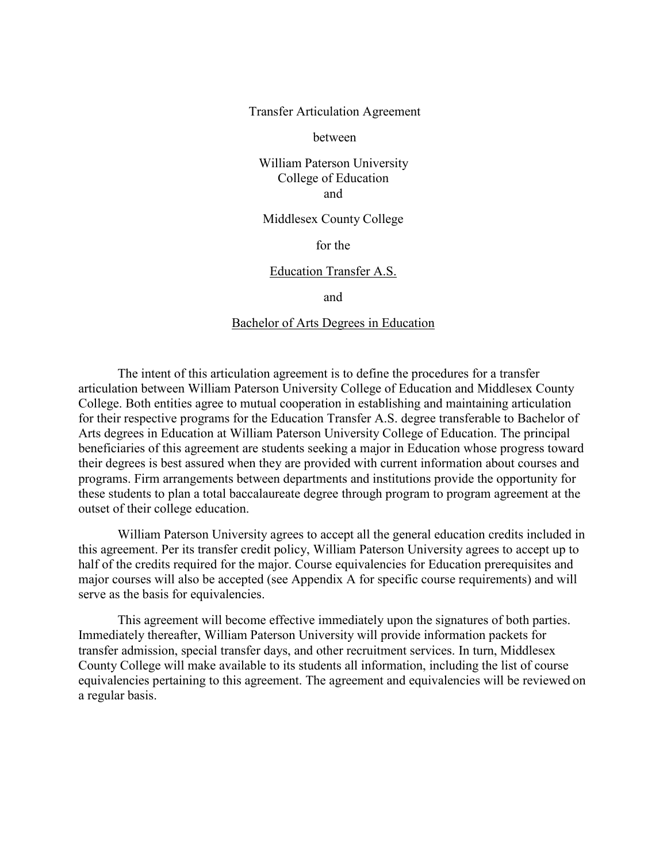Transfer Articulation Agreement

between

# William Paterson University College of Education and

#### Middlesex County College

for the

## Education Transfer A.S.

and

# Bachelor of Arts Degrees in Education

The intent of this articulation agreement is to define the procedures for a transfer articulation between William Paterson University College of Education and Middlesex County College. Both entities agree to mutual cooperation in establishing and maintaining articulation for their respective programs for the Education Transfer A.S. degree transferable to Bachelor of Arts degrees in Education at William Paterson University College of Education. The principal beneficiaries of this agreement are students seeking a major in Education whose progress toward their degrees is best assured when they are provided with current information about courses and programs. Firm arrangements between departments and institutions provide the opportunity for these students to plan a total baccalaureate degree through program to program agreement at the outset of their college education.

William Paterson University agrees to accept all the general education credits included in this agreement. Per its transfer credit policy, William Paterson University agrees to accept up to half of the credits required for the major. Course equivalencies for Education prerequisites and major courses will also be accepted (see Appendix A for specific course requirements) and will serve as the basis for equivalencies.

This agreement will become effective immediately upon the signatures of both parties. Immediately thereafter, William Paterson University will provide information packets for transfer admission, special transfer days, and other recruitment services. In turn, Middlesex County College will make available to its students all information, including the list of course equivalencies pertaining to this agreement. The agreement and equivalencies will be reviewed on a regular basis.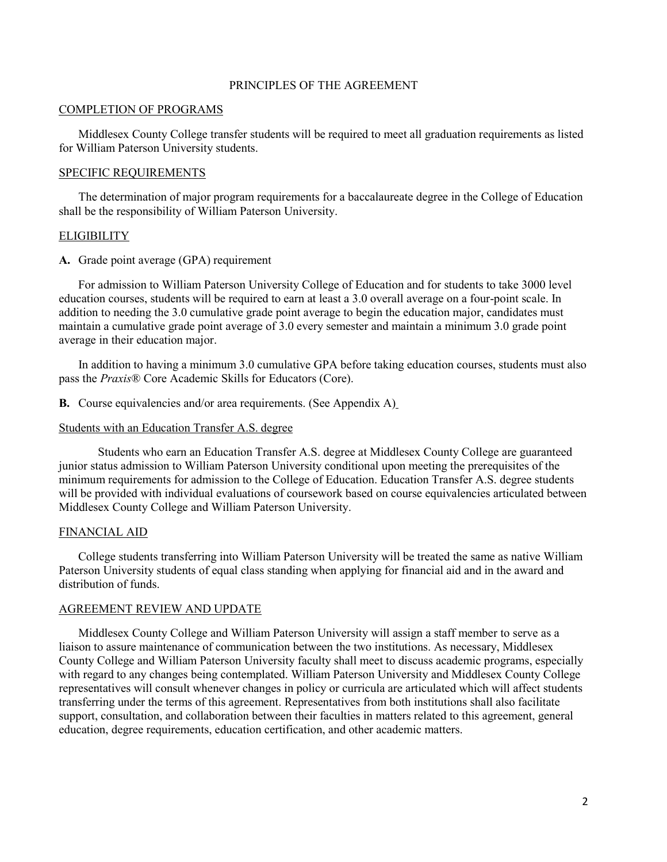## PRINCIPLES OF THE AGREEMENT

#### COMPLETION OF PROGRAMS

Middlesex County College transfer students will be required to meet all graduation requirements as listed for William Paterson University students.

#### SPECIFIC REQUIREMENTS

The determination of major program requirements for a baccalaureate degree in the College of Education shall be the responsibility of William Paterson University.

#### **ELIGIBILITY**

**A.** Grade point average (GPA) requirement

For admission to William Paterson University College of Education and for students to take 3000 level education courses, students will be required to earn at least a 3.0 overall average on a four-point scale. In addition to needing the 3.0 cumulative grade point average to begin the education major, candidates must maintain a cumulative grade point average of 3.0 every semester and maintain a minimum 3.0 grade point average in their education major.

In addition to having a minimum 3.0 cumulative GPA before taking education courses, students must also pass the *Praxis*® Core Academic Skills for Educators (Core).

**B.** Course equivalencies and/or area requirements. (See Appendix A)

#### Students with an Education Transfer A.S. degree

Students who earn an Education Transfer A.S. degree at Middlesex County College are guaranteed junior status admission to William Paterson University conditional upon meeting the prerequisites of the minimum requirements for admission to the College of Education. Education Transfer A.S. degree students will be provided with individual evaluations of coursework based on course equivalencies articulated between Middlesex County College and William Paterson University.

## FINANCIAL AID

College students transferring into William Paterson University will be treated the same as native William Paterson University students of equal class standing when applying for financial aid and in the award and distribution of funds.

#### AGREEMENT REVIEW AND UPDATE

Middlesex County College and William Paterson University will assign a staff member to serve as a liaison to assure maintenance of communication between the two institutions. As necessary, Middlesex County College and William Paterson University faculty shall meet to discuss academic programs, especially with regard to any changes being contemplated. William Paterson University and Middlesex County College representatives will consult whenever changes in policy or curricula are articulated which will affect students transferring under the terms of this agreement. Representatives from both institutions shall also facilitate support, consultation, and collaboration between their faculties in matters related to this agreement, general education, degree requirements, education certification, and other academic matters.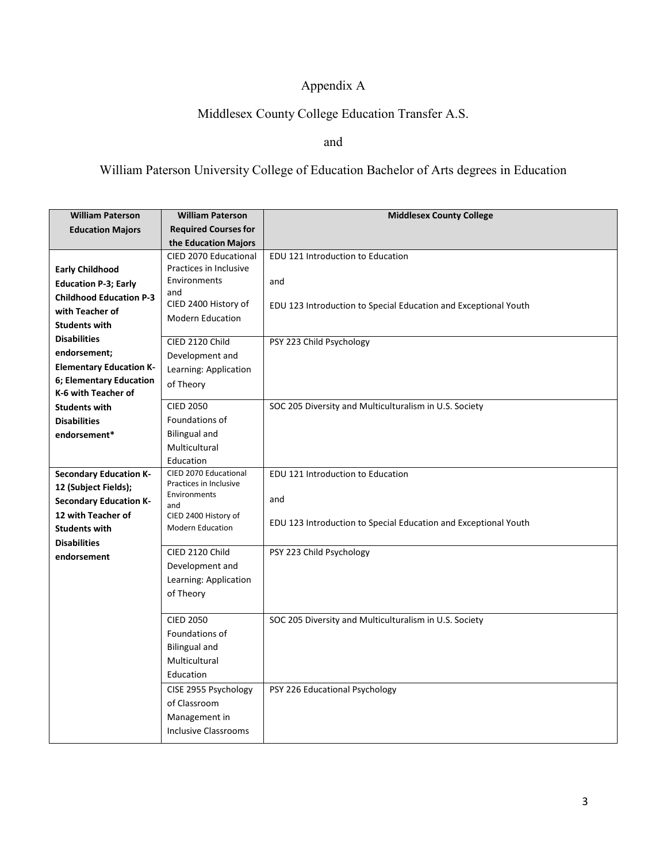# Appendix A

# Middlesex County College Education Transfer A.S.

# and

# William Paterson University College of Education Bachelor of Arts degrees in Education

| <b>William Paterson</b>        | <b>William Paterson</b>                         | <b>Middlesex County College</b>                                 |
|--------------------------------|-------------------------------------------------|-----------------------------------------------------------------|
| <b>Education Majors</b>        | <b>Required Courses for</b>                     |                                                                 |
|                                | the Education Majors                            |                                                                 |
|                                | CIED 2070 Educational                           | EDU 121 Introduction to Education                               |
| <b>Early Childhood</b>         | Practices in Inclusive                          |                                                                 |
| <b>Education P-3; Early</b>    | Environments                                    | and                                                             |
| <b>Childhood Education P-3</b> | and                                             |                                                                 |
| with Teacher of                | CIED 2400 History of<br><b>Modern Education</b> | EDU 123 Introduction to Special Education and Exceptional Youth |
| <b>Students with</b>           |                                                 |                                                                 |
| <b>Disabilities</b>            | CIED 2120 Child                                 | PSY 223 Child Psychology                                        |
| endorsement;                   | Development and                                 |                                                                 |
| <b>Elementary Education K-</b> | Learning: Application                           |                                                                 |
| 6; Elementary Education        | of Theory                                       |                                                                 |
| K-6 with Teacher of            |                                                 |                                                                 |
| <b>Students with</b>           | <b>CIED 2050</b>                                | SOC 205 Diversity and Multiculturalism in U.S. Society          |
| <b>Disabilities</b>            | Foundations of                                  |                                                                 |
| endorsement*                   | <b>Bilingual and</b>                            |                                                                 |
|                                | Multicultural                                   |                                                                 |
|                                | Education                                       |                                                                 |
| <b>Secondary Education K-</b>  | CIED 2070 Educational                           | EDU 121 Introduction to Education                               |
| 12 (Subject Fields);           | Practices in Inclusive<br>Environments          |                                                                 |
| <b>Secondary Education K-</b>  | and                                             | and                                                             |
| 12 with Teacher of             | CIED 2400 History of                            | EDU 123 Introduction to Special Education and Exceptional Youth |
| <b>Students with</b>           | <b>Modern Education</b>                         |                                                                 |
| <b>Disabilities</b>            | CIED 2120 Child                                 |                                                                 |
| endorsement                    |                                                 | PSY 223 Child Psychology                                        |
|                                | Development and                                 |                                                                 |
|                                | Learning: Application                           |                                                                 |
|                                | of Theory                                       |                                                                 |
|                                | <b>CIED 2050</b>                                | SOC 205 Diversity and Multiculturalism in U.S. Society          |
|                                | Foundations of                                  |                                                                 |
|                                | <b>Bilingual and</b>                            |                                                                 |
|                                | Multicultural                                   |                                                                 |
|                                | Education                                       |                                                                 |
|                                | CISE 2955 Psychology                            | PSY 226 Educational Psychology                                  |
|                                | of Classroom                                    |                                                                 |
|                                |                                                 |                                                                 |
|                                | Management in<br><b>Inclusive Classrooms</b>    |                                                                 |
|                                |                                                 |                                                                 |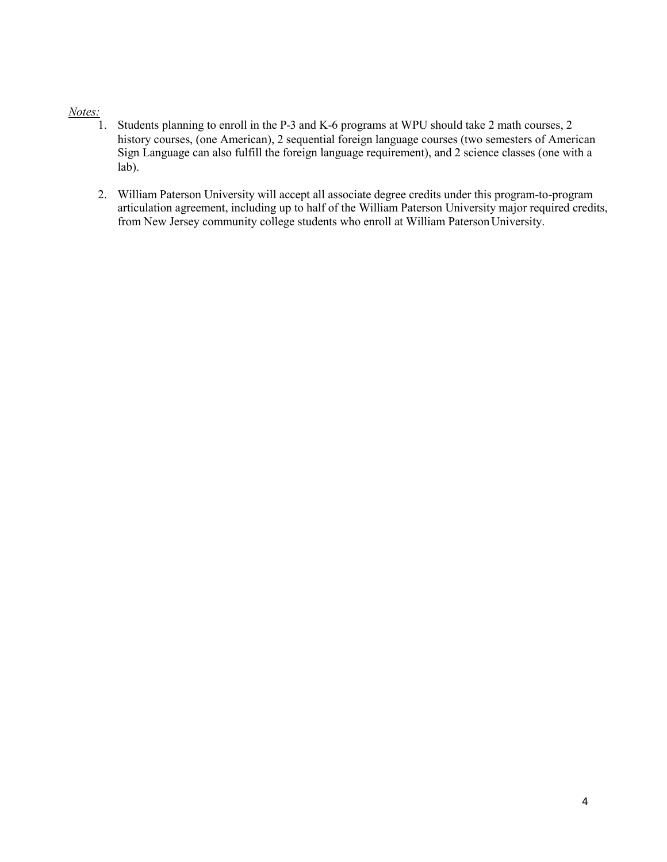## *Notes:*

- 1. Students planning to enroll in the P-3 and K-6 programs at WPU should take 2 math courses, 2 history courses, (one American), 2 sequential foreign language courses (two semesters of American Sign Language can also fulfill the foreign language requirement), and 2 science classes (one with a lab).
- 2. William Paterson University will accept all associate degree credits under this program-to-program articulation agreement, including up to half of the William Paterson University major required credits, from New Jersey community college students who enroll at William Paterson University.